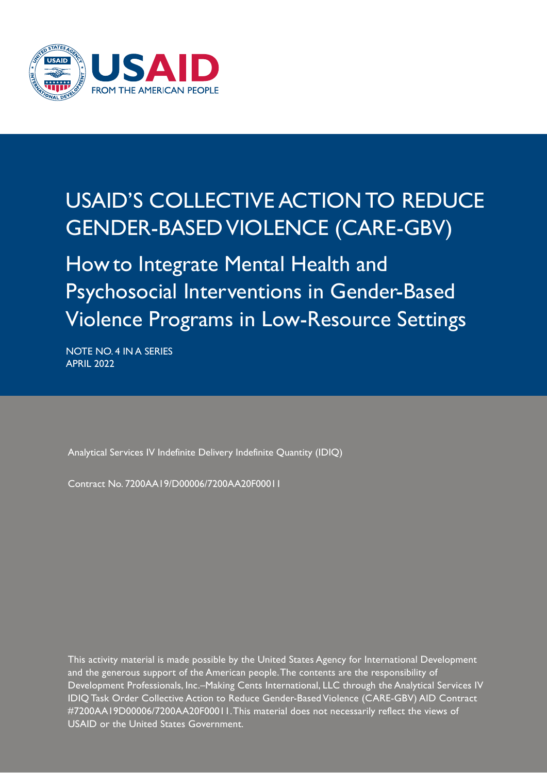

# USAID'S COLLECTIVE ACTION TO REDUCE GENDER-BASED VIOLENCE (CARE-GBV)

How to Integrate Mental Health and Psychosocial Interventions in Gender-Based Violence Programs in Low-Resource Settings

NOTE NO. 4 IN A SERIES APRIL 2022

Analytical Services IV Indefinite Delivery Indefinite Quantity (IDIQ)

Contract No. 7200AA19/D00006/7200AA20F00011

This activity material is made possible by the United States Agency for International Development and the generous support of the American people. The contents are the responsibility of Development Professionals, Inc.–Making Cents International, LLC through the Analytical Services IV IDIQ Task Order Collective Action to Reduce Gender-Based Violence (CARE-GBV) AID Contract #7200AA19D00006/7200AA20F00011. This material does not necessarily reflect the views of USAID or the United States Government.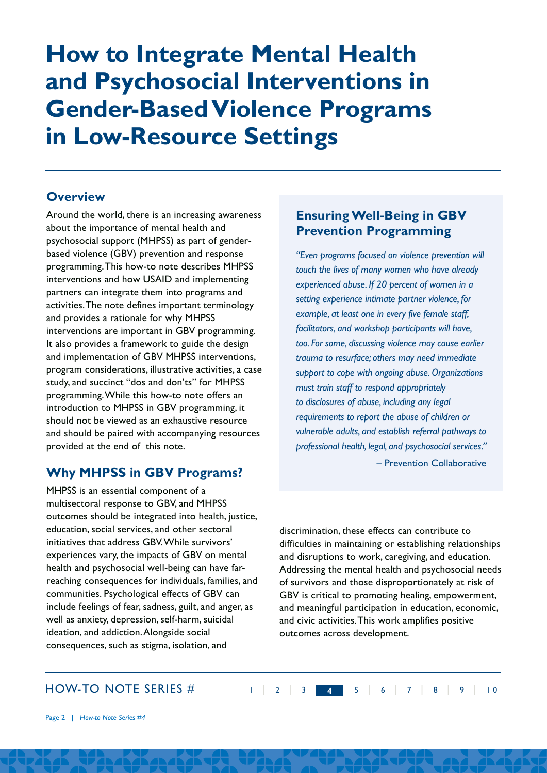# **How to Integrate Mental Health and Psychosocial Interventions in Gender-Based Violence Programs in Low-Resource Settings**

## **Overview**

Around the world, there is an increasing awareness about the importance of mental health and psychosocial support (MHPSS) as part of genderbased violence (GBV) prevention and response programming.This how-to note describes MHPSS interventions and how USAID and implementing partners can integrate them into programs and activities.The note defines important terminology and provides a rationale for why MHPSS interventions are important in GBV programming. It also provides a framework to guide the design and implementation of GBV MHPSS interventions, program considerations, illustrative activities, a case study, and succinct "dos and don'ts" for MHPSS programming.While this how-to note offers an introduction to MHPSS in GBV programming, it should not be viewed as an exhaustive resource and should be paired with accompanying resources provided at the end of this note.

# **Why MHPSS in GBV Programs?**

MHPSS is an essential component of a multisectoral response to GBV, and MHPSS outcomes should be integrated into health, justice, education, social services, and other sectoral initiatives that address GBV.While survivors' experiences vary, the impacts of GBV on mental health and psychosocial well-being can have farreaching consequences for individuals, families, and communities. Psychological effects of GBV can include feelings of fear, sadness, guilt, and anger, as well as anxiety, depression, self-harm, suicidal ideation, and addiction.Alongside social consequences, such as stigma, isolation, and

# **Ensuring Well-Being in GBV Prevention Programming**

*"Even programs focused on violence prevention will touch the lives of many women who have already experienced abuse. If 20 percent of women in a setting experience intimate partner violence, for example, at least one in every five female staff, facilitators, and workshop participants will have, too. For some, discussing violence may cause earlier trauma to resurface; others may need immediate support to cope with ongoing abuse. Organizations must train staff to respond appropriately to disclosures of abuse, including any legal requirements to report the abuse of children or vulnerable adults, and establish referral pathways to professional health, legal, and psychosocial services."* 

– [Prevention Collaborative](https://prevention-collaborative.org/guide-programming/ensuring-well-being/)

discrimination, these effects can contribute to difficulties in maintaining or establishing relationships and disruptions to work, caregiving, and education. Addressing the mental health and psychosocial needs of survivors and those disproportionately at risk of GBV is critical to promoting healing, empowerment, and meaningful participation in education, economic, and civic activities. This work amplifies positive outcomes across development.

1 | 2 | 3 | **4**4 | 5 | 6 | 7 | 8 | 9 | 1 0

## HOW-TO NOTE SERIES #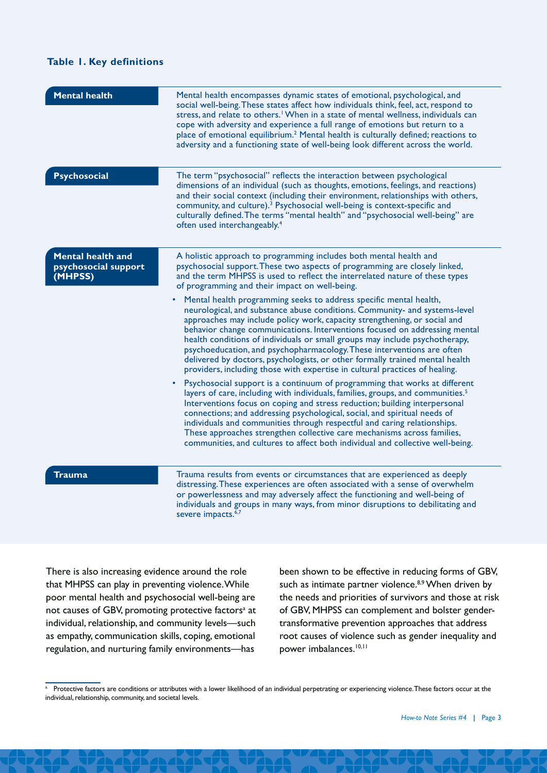#### **Table 1. Key definitions**

| <b>Mental health</b>                                        | Mental health encompasses dynamic states of emotional, psychological, and<br>social well-being. These states affect how individuals think, feel, act, respond to<br>stress, and relate to others. <sup>1</sup> When in a state of mental wellness, individuals can<br>cope with adversity and experience a full range of emotions but return to a<br>place of emotional equilibrium. <sup>2</sup> Mental health is culturally defined; reactions to<br>adversity and a functioning state of well-being look different across the world.                                                                                                                                                                                                                                                                                                                                                                                                                                                                                                                                                                                                                                                                                                                                                                                                                                                                                                                                                                    |  |
|-------------------------------------------------------------|------------------------------------------------------------------------------------------------------------------------------------------------------------------------------------------------------------------------------------------------------------------------------------------------------------------------------------------------------------------------------------------------------------------------------------------------------------------------------------------------------------------------------------------------------------------------------------------------------------------------------------------------------------------------------------------------------------------------------------------------------------------------------------------------------------------------------------------------------------------------------------------------------------------------------------------------------------------------------------------------------------------------------------------------------------------------------------------------------------------------------------------------------------------------------------------------------------------------------------------------------------------------------------------------------------------------------------------------------------------------------------------------------------------------------------------------------------------------------------------------------------|--|
| <b>Psychosocial</b>                                         | The term "psychosocial" reflects the interaction between psychological<br>dimensions of an individual (such as thoughts, emotions, feelings, and reactions)<br>and their social context (including their environment, relationships with others,<br>community, and culture). <sup>3</sup> Psychosocial well-being is context-specific and<br>culturally defined. The terms "mental health" and "psychosocial well-being" are<br>often used interchangeably. <sup>4</sup>                                                                                                                                                                                                                                                                                                                                                                                                                                                                                                                                                                                                                                                                                                                                                                                                                                                                                                                                                                                                                                   |  |
| <b>Mental health and</b><br>psychosocial support<br>(MHPSS) | A holistic approach to programming includes both mental health and<br>psychosocial support. These two aspects of programming are closely linked,<br>and the term MHPSS is used to reflect the interrelated nature of these types<br>of programming and their impact on well-being.<br>Mental health programming seeks to address specific mental health,<br>neurological, and substance abuse conditions. Community- and systems-level<br>approaches may include policy work, capacity strengthening, or social and<br>behavior change communications. Interventions focused on addressing mental<br>health conditions of individuals or small groups may include psychotherapy,<br>psychoeducation, and psychopharmacology. These interventions are often<br>delivered by doctors, psychologists, or other formally trained mental health<br>providers, including those with expertise in cultural practices of healing.<br>Psychosocial support is a continuum of programming that works at different<br>layers of care, including with individuals, families, groups, and communities. <sup>5</sup><br>Interventions focus on coping and stress reduction; building interpersonal<br>connections; and addressing psychological, social, and spiritual needs of<br>individuals and communities through respectful and caring relationships.<br>These approaches strengthen collective care mechanisms across families,<br>communities, and cultures to affect both individual and collective well-being. |  |
| Trauma                                                      | Trauma results from events or circumstances that are experienced as deeply<br>distressing. These experiences are often associated with a sense of overwhelm<br>or powerlessness and may adversely affect the functioning and well-being of<br>individuals and groups in many ways, from minor disruptions to debilitating and<br>severe impacts. <sup>6,7</sup>                                                                                                                                                                                                                                                                                                                                                                                                                                                                                                                                                                                                                                                                                                                                                                                                                                                                                                                                                                                                                                                                                                                                            |  |

There is also increasing evidence around the role that MHPSS can play in preventing violence. While poor mental health and psychosocial well-being are not causes of GBV, promoting protective factors<sup>a</sup> at individual, relationship, and community levels—such as empathy, communication skills, coping, emotional regulation, and nurturing family environments—has

been shown to be effective in reducing forms of GBV, such as intimate partner violence.<sup>8,9</sup> When driven by the needs and priorities of survivors and those at risk of GBV, MHPSS can complement and bolster gendertransformative prevention approaches that address root causes of violence such as gender inequality and power imbalances.<sup>10,11</sup>

a. Protective factors are conditions or attributes with a lower likelihood of an individual perpetrating or experiencing violence. These factors occur at the individual, relationship, community, and societal levels.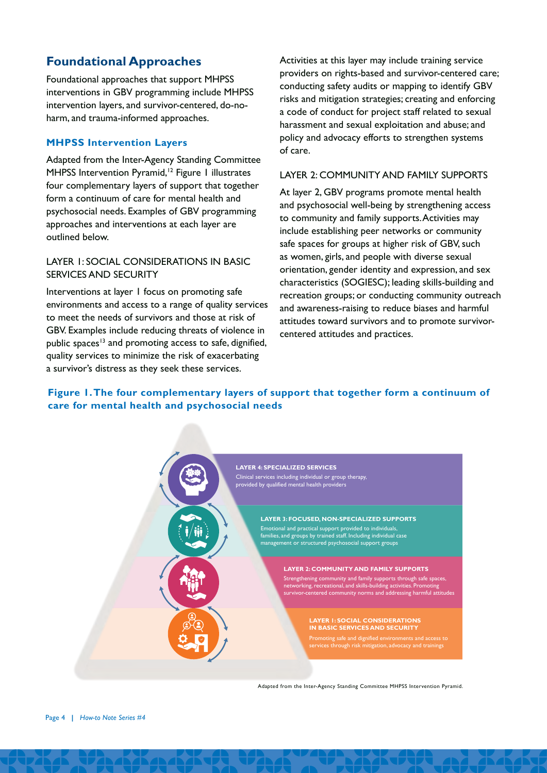# **Foundational Approaches**

Foundational approaches that support MHPSS interventions in GBV programming include MHPSS intervention layers, and survivor-centered, do-noharm, and trauma-informed approaches.

#### **MHPSS Intervention Layers**

Adapted from the Inter-Agency Standing Committee MHPSS Intervention Pyramid,<sup>12</sup> Figure 1 illustrates four complementary layers of support that together form a continuum of care for mental health and psychosocial needs. Examples of GBV programming approaches and interventions at each layer are outlined below.

#### LAYER 1: SOCIAL CONSIDERATIONS IN BASIC SERVICES AND SECURITY

Interventions at layer 1 focus on promoting safe environments and access to a range of quality services to meet the needs of survivors and those at risk of GBV. Examples include reducing threats of violence in public spaces<sup>13</sup> and promoting access to safe, dignified, quality services to minimize the risk of exacerbating a survivor's distress as they seek these services.

Activities at this layer may include training service providers on rights-based and survivor-centered care; conducting safety audits or mapping to identify GBV risks and mitigation strategies; creating and enforcing a code of conduct for project staff related to sexual harassment and sexual exploitation and abuse; and policy and advocacy efforts to strengthen systems of care.

#### LAYER 2: COMMUNITY AND FAMILY SUPPORTS

At layer 2, GBV programs promote mental health and psychosocial well-being by strengthening access to community and family supports. Activities may include establishing peer networks or community safe spaces for groups at higher risk of GBV, such as women, girls, and people with diverse sexual orientation, gender identity and expression, and sex characteristics (SOGIESC); leading skills-building and recreation groups; or conducting community outreach and awareness-raising to reduce biases and harmful attitudes toward survivors and to promote survivorcentered attitudes and practices.

### **Figure 1. The four complementary layers of support that together form a continuum of care for mental health and psychosocial needs**



Adapted from the Inter-Agency Standing Committee MHPSS Intervention Pyramid.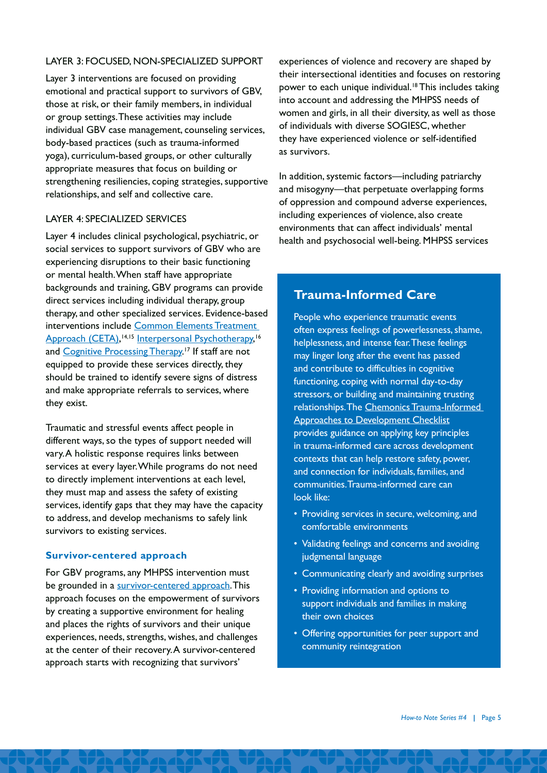#### LAYER 3: FOCUSED, NON-SPECIALIZED SUPPORT

Layer 3 interventions are focused on providing emotional and practical support to survivors of GBV, those at risk, or their family members, in individual or group settings. These activities may include individual GBV case management, counseling services, body-based practices (such as trauma-informed yoga), curriculum-based groups, or other culturally appropriate measures that focus on building or strengthening resiliencies, coping strategies, supportive relationships, and self and collective care.

#### LAYER 4: SPECIALIZED SERVICES

Layer 4 includes clinical psychological, psychiatric, or social services to support survivors of GBV who are experiencing disruptions to their basic functioning or mental health. When staff have appropriate backgrounds and training, GBV programs can provide direct services including individual therapy, group therapy, and other specialized services. Evidence-based interventions include [Common Elements Treatment](https://www.cetaglobal.org/)  [Approach \(CETA\),](https://www.cetaglobal.org/) 14,15 [Interpersonal Psychotherapy](https://div12.org/treatment/interpersonal-psychotherapy-for-depression/#treatment-manuals), 16 and [Cognitive Processing Therapy](https://www.apa.org/ptsd-guideline/treatments/cognitive-processing-therapy).<sup>17</sup> If staff are not equipped to provide these services directly, they should be trained to identify severe signs of distress and make appropriate referrals to services, where they exist.

Traumatic and stressful events affect people in different ways, so the types of support needed will vary. A holistic response requires links between services at every layer. While programs do not need to directly implement interventions at each level, they must map and assess the safety of existing services, identify gaps that they may have the capacity to address, and develop mechanisms to safely link survivors to existing services.

#### **Survivor-centered approach**

For GBV programs, any MHPSS intervention must be grounded in a [survivor-centered approach](https://makingcents.com/wp-content/uploads/2021/01/CARE-GBV-03-Survivor-centered-v9-508c.pdf). This approach focuses on the empowerment of survivors by creating a supportive environment for healing and places the rights of survivors and their unique experiences, needs, strengths, wishes, and challenges at the center of their recovery. A survivor-centered approach starts with recognizing that survivors'

experiences of violence and recovery are shaped by their intersectional identities and focuses on restoring power to each unique individual.<sup>18</sup> This includes taking into account and addressing the MHPSS needs of women and girls, in all their diversity, as well as those of individuals with diverse SOGIESC, whether they have experienced violence or self-identified as survivors.

In addition, systemic factors—including patriarchy and misogyny—that perpetuate overlapping forms of oppression and compound adverse experiences, including experiences of violence, also create environments that can affect individuals' mental health and psychosocial well-being. MHPSS services

## **Trauma-Informed Care**

People who experience traumatic events often express feelings of powerlessness, shame, helplessness, and intense fear. These feelings may linger long after the event has passed and contribute to difficulties in cognitive functioning, coping with normal day-to-day stressors, or building and maintaining trusting relationships. The [Chemonics Trauma-Informed](https://www.chemonics.com/wp-content/uploads/2020/10/TIA_PREPARE_GESI_Checklist_Final-Copy.pdf)  [Approaches to Development Checklist](https://www.chemonics.com/wp-content/uploads/2020/10/TIA_PREPARE_GESI_Checklist_Final-Copy.pdf) provides guidance on applying key principles in trauma-informed care across development contexts that can help restore safety, power, and connection for individuals, families, and communities. Trauma-informed care can look like:

- Providing services in secure, welcoming, and comfortable environments
- Validating feelings and concerns and avoiding judgmental language
- Communicating clearly and avoiding surprises
- Providing information and options to support individuals and families in making their own choices
- Offering opportunities for peer support and community reintegration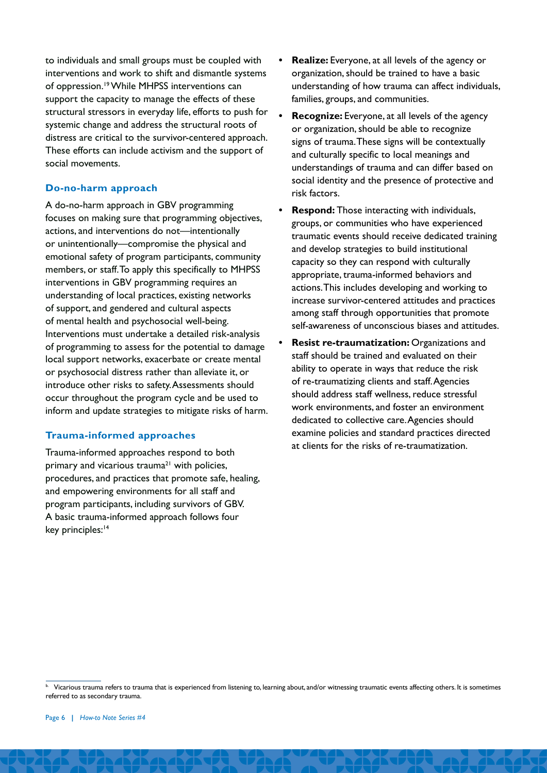to individuals and small groups must be coupled with interventions and work to shift and dismantle systems of oppression.<sup>19</sup> While MHPSS interventions can support the capacity to manage the effects of these structural stressors in everyday life, efforts to push for systemic change and address the structural roots of distress are critical to the survivor-centered approach. These efforts can include activism and the support of social movements.

#### **Do-no-harm approach**

A do-no-harm approach in GBV programming focuses on making sure that programming objectives, actions, and interventions do not—intentionally or unintentionally—compromise the physical and emotional safety of program participants, community members, or staff. To apply this specifically to MHPSS interventions in GBV programming requires an understanding of local practices, existing networks of support, and gendered and cultural aspects of mental health and psychosocial well-being. Interventions must undertake a detailed risk-analysis of programming to assess for the potential to damage local support networks, exacerbate or create mental or psychosocial distress rather than alleviate it, or introduce other risks to safety. Assessments should occur throughout the program cycle and be used to inform and update strategies to mitigate risks of harm.

#### **Trauma-informed approaches**

Trauma-informed approaches respond to both primary and vicarious trauma<sup>21</sup> with policies, procedures, and practices that promote safe, healing, and empowering environments for all staff and program participants, including survivors of GBV. A basic trauma-informed approach follows four key principles:<sup>14</sup>

- **• Realize:** Everyone, at all levels of the agency or organization, should be trained to have a basic understanding of how trauma can affect individuals, families, groups, and communities.
- **• Recognize:** Everyone, at all levels of the agency or organization, should be able to recognize signs of trauma. These signs will be contextually and culturally specific to local meanings and understandings of trauma and can differ based on social identity and the presence of protective and risk factors.
- **• Respond:** Those interacting with individuals, groups, or communities who have experienced traumatic events should receive dedicated training and develop strategies to build institutional capacity so they can respond with culturally appropriate, trauma-informed behaviors and actions. This includes developing and working to increase survivor-centered attitudes and practices among staff through opportunities that promote self-awareness of unconscious biases and attitudes.
- **• Resist re-traumatization:** Organizations and staff should be trained and evaluated on their ability to operate in ways that reduce the risk of re-traumatizing clients and staff. Agencies should address staff wellness, reduce stressful work environments, and foster an environment dedicated to collective care. Agencies should examine policies and standard practices directed at clients for the risks of re-traumatization.

Vicarious trauma refers to trauma that is experienced from listening to, learning about, and/or witnessing traumatic events affecting others. It is sometimes referred to as secondary trauma.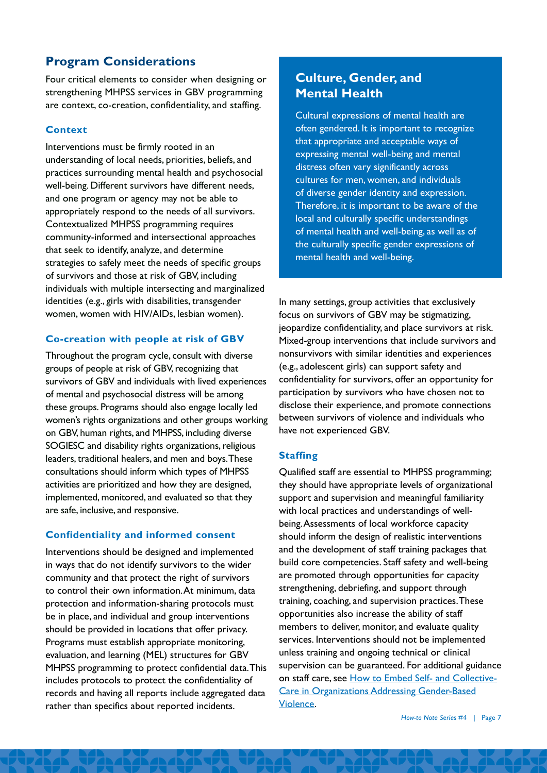# **Program Considerations**

Four critical elements to consider when designing or strengthening MHPSS services in GBV programming are context, co-creation, confidentiality, and staffing.

#### **Context**

Interventions must be firmly rooted in an understanding of local needs, priorities, beliefs, and practices surrounding mental health and psychosocial well-being. Different survivors have different needs, and one program or agency may not be able to appropriately respond to the needs of all survivors. Contextualized MHPSS programming requires community-informed and intersectional approaches that seek to identify, analyze, and determine strategies to safely meet the needs of specific groups of survivors and those at risk of GBV, including individuals with multiple intersecting and marginalized identities (e.g., girls with disabilities, transgender women, women with HIV/AIDs, lesbian women).

### **Co-creation with people at risk of GBV**

Throughout the program cycle, consult with diverse groups of people at risk of GBV, recognizing that survivors of GBV and individuals with lived experiences of mental and psychosocial distress will be among these groups. Programs should also engage locally led women's rights organizations and other groups working on GBV, human rights, and MHPSS, including diverse SOGIESC and disability rights organizations, religious leaders, traditional healers, and men and boys. These consultations should inform which types of MHPSS activities are prioritized and how they are designed, implemented, monitored, and evaluated so that they are safe, inclusive, and responsive.

## **Confidentiality and informed consent**

Interventions should be designed and implemented in ways that do not identify survivors to the wider community and that protect the right of survivors to control their own information. At minimum, data protection and information-sharing protocols must be in place, and individual and group interventions should be provided in locations that offer privacy. Programs must establish appropriate monitoring, evaluation, and learning (MEL) structures for GBV MHPSS programming to protect confidential data. This includes protocols to protect the confidentiality of records and having all reports include aggregated data rather than specifics about reported incidents.

# **Culture, Gender, and Mental Health**

Cultural expressions of mental health are often gendered. It is important to recognize that appropriate and acceptable ways of expressing mental well-being and mental distress often vary significantly across cultures for men, women, and individuals of diverse gender identity and expression. Therefore, it is important to be aware of the local and culturally specific understandings of mental health and well-being, as well as of the culturally specific gender expressions of mental health and well-being.

In many settings, group activities that exclusively focus on survivors of GBV may be stigmatizing, jeopardize confidentiality, and place survivors at risk. Mixed-group interventions that include survivors and nonsurvivors with similar identities and experiences (e.g., adolescent girls) can support safety and confidentiality for survivors, offer an opportunity for participation by survivors who have chosen not to disclose their experience, and promote connections between survivors of violence and individuals who have not experienced GBV.

#### **Staffing**

Qualified staff are essential to MHPSS programming; they should have appropriate levels of organizational support and supervision and meaningful familiarity with local practices and understandings of wellbeing. Assessments of local workforce capacity should inform the design of realistic interventions and the development of staff training packages that build core competencies. Staff safety and well-being are promoted through opportunities for capacity strengthening, debriefing, and support through training, coaching, and supervision practices. These opportunities also increase the ability of staff members to deliver, monitor, and evaluate quality services. Interventions should not be implemented unless training and ongoing technical or clinical supervision can be guaranteed. For additional guidance on staff care, see [How to Embed Self- and Collective-](https://makingcents.com/wp-content/uploads/2022/04/CARE-GBV_05_Self_Collective_Care-v9-508c.pdf)[Care in Organizations Addressing Gender-Based](https://makingcents.com/wp-content/uploads/2022/04/CARE-GBV_05_Self_Collective_Care-v9-508c.pdf) [Violence](https://makingcents.com/wp-content/uploads/2022/04/CARE-GBV_05_Self_Collective_Care-v9-508c.pdf).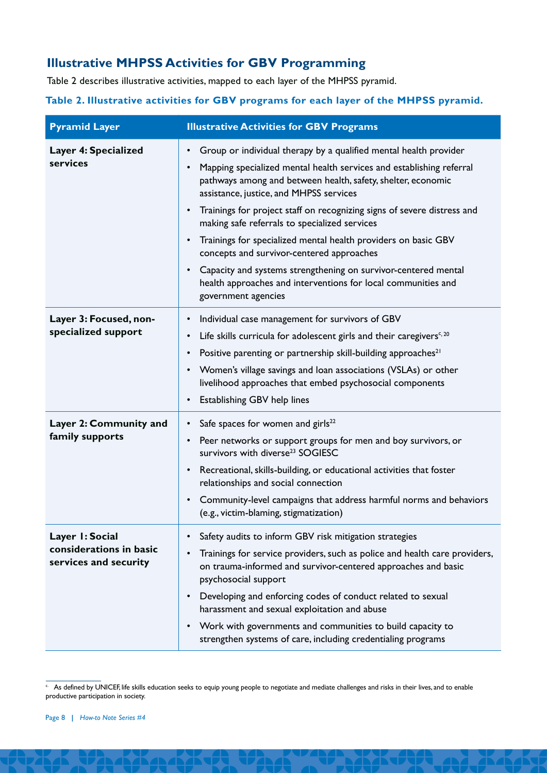# **Illustrative MHPSS Activities for GBV Programming**

Table 2 describes illustrative activities, mapped to each layer of the MHPSS pyramid.

## **Table 2. Illustrative activities for GBV programs for each layer of the MHPSS pyramid.**

| <b>Pyramid Layer</b>                                                | <b>Illustrative Activities for GBV Programs</b>                                                                                                                                                                                                                                                                                                                                                                                                                                                                                                                                                                                                                                                                            |
|---------------------------------------------------------------------|----------------------------------------------------------------------------------------------------------------------------------------------------------------------------------------------------------------------------------------------------------------------------------------------------------------------------------------------------------------------------------------------------------------------------------------------------------------------------------------------------------------------------------------------------------------------------------------------------------------------------------------------------------------------------------------------------------------------------|
| Layer 4: Specialized<br>services                                    | Group or individual therapy by a qualified mental health provider<br>$\bullet$<br>Mapping specialized mental health services and establishing referral<br>$\bullet$<br>pathways among and between health, safety, shelter, economic<br>assistance, justice, and MHPSS services<br>Trainings for project staff on recognizing signs of severe distress and<br>$\bullet$<br>making safe referrals to specialized services<br>Trainings for specialized mental health providers on basic GBV<br>$\bullet$<br>concepts and survivor-centered approaches<br>Capacity and systems strengthening on survivor-centered mental<br>$\bullet$<br>health approaches and interventions for local communities and<br>government agencies |
| Layer 3: Focused, non-<br>specialized support                       | Individual case management for survivors of GBV<br>٠<br>Life skills curricula for adolescent girls and their caregivers <sup><math>c, 20</math></sup><br>$\bullet$<br>Positive parenting or partnership skill-building approaches <sup>21</sup><br>$\bullet$<br>Women's village savings and loan associations (VSLAs) or other<br>$\bullet$<br>livelihood approaches that embed psychosocial components<br>Establishing GBV help lines<br>$\bullet$                                                                                                                                                                                                                                                                        |
| Layer 2: Community and<br>family supports                           | Safe spaces for women and girls <sup>22</sup><br>$\bullet$<br>Peer networks or support groups for men and boy survivors, or<br>$\bullet$<br>survivors with diverse <sup>23</sup> SOGIESC<br>Recreational, skills-building, or educational activities that foster<br>$\bullet$<br>relationships and social connection<br>Community-level campaigns that address harmful norms and behaviors<br>$\bullet$<br>(e.g., victim-blaming, stigmatization)                                                                                                                                                                                                                                                                          |
| Layer I: Social<br>considerations in basic<br>services and security | Safety audits to inform GBV risk mitigation strategies<br>$\bullet$<br>Trainings for service providers, such as police and health care providers,<br>$\bullet$<br>on trauma-informed and survivor-centered approaches and basic<br>psychosocial support<br>Developing and enforcing codes of conduct related to sexual<br>$\bullet$<br>harassment and sexual exploitation and abuse<br>Work with governments and communities to build capacity to<br>$\bullet$<br>strengthen systems of care, including credentialing programs                                                                                                                                                                                             |

**Example 1** As defined by UNICEF, life skills education seeks to equip young people to negotiate and mediate challenges and risks in their lives, and to enable productive participation in society.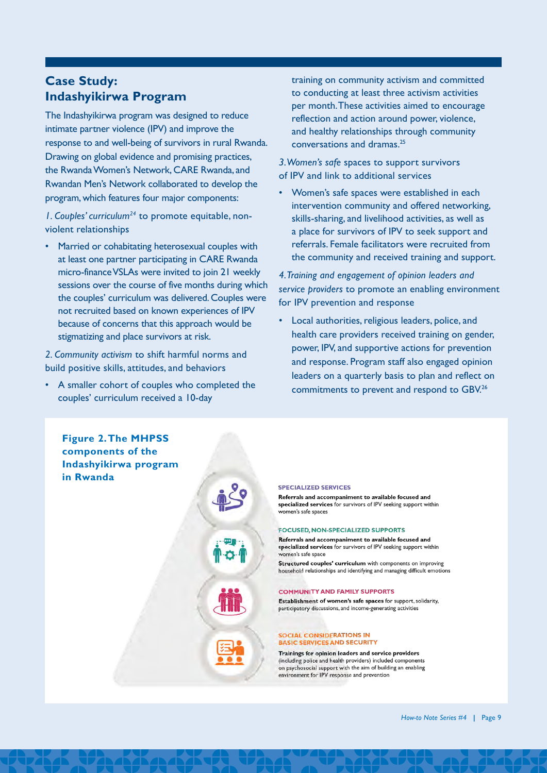# **Case Study: Indashyikirwa Program**

The Indashyikirwa program was designed to reduce intimate partner violence (IPV) and improve the response to and well-being of survivors in rural Rwanda. Drawing on global evidence and promising practices, the Rwanda Women's Network, CARE Rwanda, and Rwandan Men's Network collaborated to develop the program, which features four major components:

*1. Couples' curriculum24* to promote equitable, nonviolent relationships

• Married or cohabitating heterosexual couples with at least one partner participating in CARE Rwanda micro-finance VSLAs were invited to join 21 weekly sessions over the course of five months during which the couples' curriculum was delivered. Couples were not recruited based on known experiences of IPV because of concerns that this approach would be stigmatizing and place survivors at risk.

*2. Community activism* to shift harmful norms and build positive skills, attitudes, and behaviors

• A smaller cohort of couples who completed the couples' curriculum received a 10-day

training on community activism and committed to conducting at least three activism activities per month. These activities aimed to encourage reflection and action around power, violence, and healthy relationships through community conversations and dramas.25

*3. Women's safe* spaces to support survivors of IPV and link to additional services

• Women's safe spaces were established in each intervention community and offered networking, skills-sharing, and livelihood activities, as well as a place for survivors of IPV to seek support and referrals. Female facilitators were recruited from the community and received training and support.

*4. Training and engagement of opinion leaders and service providers* to promote an enabling environment for IPV prevention and response

• Local authorities, religious leaders, police, and health care providers received training on gender, power, IPV, and supportive actions for prevention and response. Program staff also engaged opinion leaders on a quarterly basis to plan and reflect on commitments to prevent and respond to GBV.26

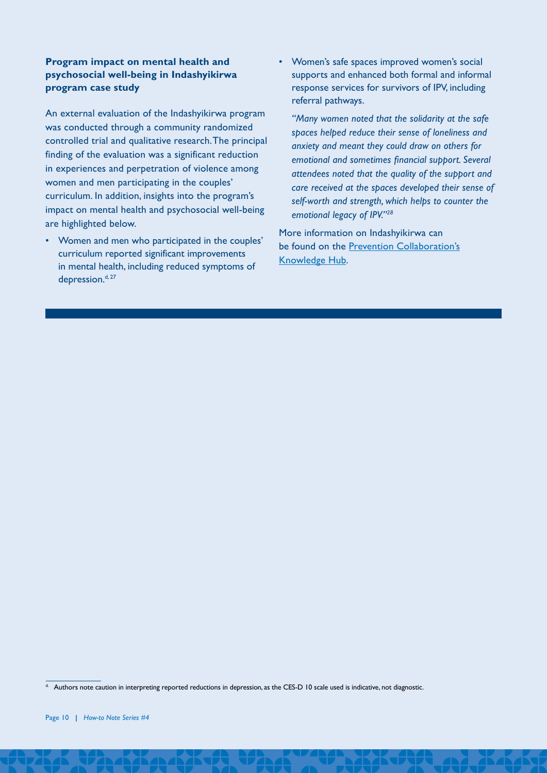#### **Program impact on mental health and psychosocial well-being in Indashyikirwa program case study**

An external evaluation of the Indashyikirwa program was conducted through a community randomized controlled trial and qualitative research. The principal finding of the evaluation was a significant reduction in experiences and perpetration of violence among women and men participating in the couples' curriculum. In addition, insights into the program's impact on mental health and psychosocial well-being are highlighted below.

• Women and men who participated in the couples' curriculum reported significant improvements in mental health, including reduced symptoms of depression.<sup>d, 27</sup>

• Women's safe spaces improved women's social supports and enhanced both formal and informal response services for survivors of IPV, including referral pathways.

*"Many women noted that the solidarity at the safe spaces helped reduce their sense of loneliness and anxiety and meant they could draw on others for emotional and sometimes financial support. Several attendees noted that the quality of the support and care received at the spaces developed their sense of self-worth and strength, which helps to counter the emotional legacy of IPV."28*

More information on Indashyikirwa can be found on the [Prevention Collaboration's](https://prevention-collaborative.org/programme-examples/indashyikirwa/?cat_id=20&scat_id=48) [Knowledge Hub.](https://prevention-collaborative.org/programme-examples/indashyikirwa/?cat_id=20&scat_id=48)

<sup>&</sup>lt;sup>d.</sup> Authors note caution in interpreting reported reductions in depression, as the CES-D 10 scale used is indicative, not diagnostic.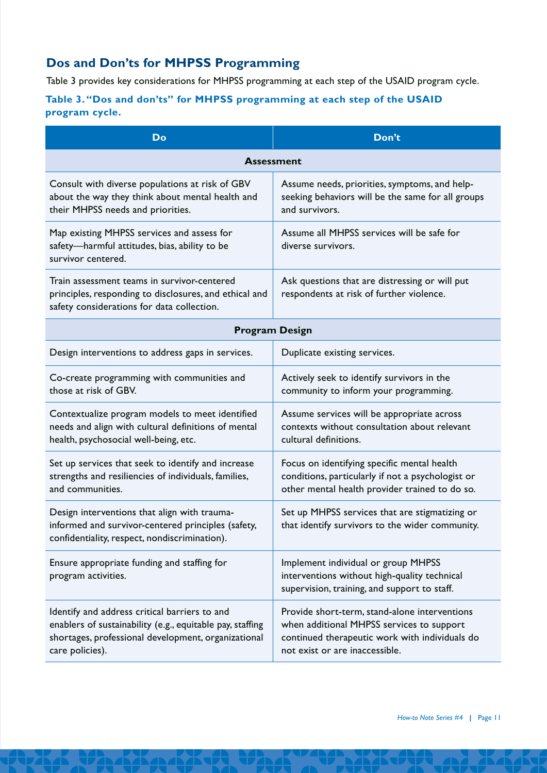# **Dos and Don'ts for MHPSS Programming**

Table 3 provides key considerations for MHPSS programming at each step of the USAID program cycle.

## **Table 3. "Dos and don'ts" for MHPSS programming at each step of the USAID program cycle.**

| <b>Do</b>                                                                                                                                                                            | Don't                                                                                                                                                                          |  |  |  |
|--------------------------------------------------------------------------------------------------------------------------------------------------------------------------------------|--------------------------------------------------------------------------------------------------------------------------------------------------------------------------------|--|--|--|
| <b>Assessment</b>                                                                                                                                                                    |                                                                                                                                                                                |  |  |  |
| Consult with diverse populations at risk of GBV<br>about the way they think about mental health and<br>their MHPSS needs and priorities.                                             | Assume needs, priorities, symptoms, and help-<br>seeking behaviors will be the same for all groups<br>and survivors.                                                           |  |  |  |
| Map existing MHPSS services and assess for<br>safety-harmful attitudes, bias, ability to be<br>survivor centered.                                                                    | Assume all MHPSS services will be safe for<br>diverse survivors.                                                                                                               |  |  |  |
| Train assessment teams in survivor-centered<br>principles, responding to disclosures, and ethical and<br>safety considerations for data collection.                                  | Ask questions that are distressing or will put<br>respondents at risk of further violence.                                                                                     |  |  |  |
| <b>Program Design</b>                                                                                                                                                                |                                                                                                                                                                                |  |  |  |
| Design interventions to address gaps in services.                                                                                                                                    | Duplicate existing services.                                                                                                                                                   |  |  |  |
| Co-create programming with communities and<br>those at risk of GBV.                                                                                                                  | Actively seek to identify survivors in the<br>community to inform your programming.                                                                                            |  |  |  |
| Contextualize program models to meet identified<br>needs and align with cultural definitions of mental<br>health, psychosocial well-being, etc.                                      | Assume services will be appropriate across<br>contexts without consultation about relevant<br>cultural definitions.                                                            |  |  |  |
| Set up services that seek to identify and increase<br>strengths and resiliencies of individuals, families,<br>and communities.                                                       | Focus on identifying specific mental health<br>conditions, particularly if not a psychologist or<br>other mental health provider trained to do so.                             |  |  |  |
| Design interventions that align with trauma-<br>informed and survivor-centered principles (safety,<br>confidentiality, respect, nondiscrimination).                                  | Set up MHPSS services that are stigmatizing or<br>that identify survivors to the wider community.                                                                              |  |  |  |
| Ensure appropriate funding and staffing for<br>program activities.                                                                                                                   | Implement individual or group MHPSS<br>interventions without high-quality technical<br>supervision, training, and support to staff.                                            |  |  |  |
| Identify and address critical barriers to and<br>enablers of sustainability (e.g., equitable pay, staffing<br>shortages, professional development, organizational<br>care policies). | Provide short-term, stand-alone interventions<br>when additional MHPSS services to support<br>continued therapeutic work with individuals do<br>not exist or are inaccessible. |  |  |  |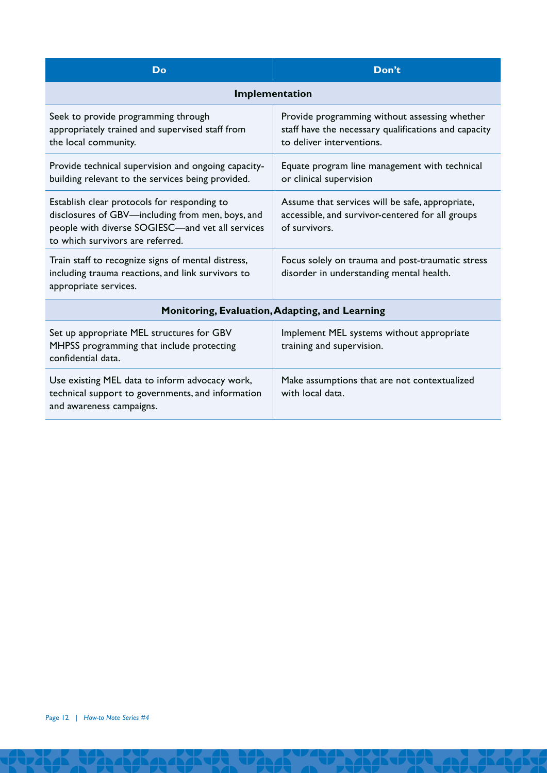| Do                                                                                                                                                                                      | Don't                                                                                                                              |  |  |  |
|-----------------------------------------------------------------------------------------------------------------------------------------------------------------------------------------|------------------------------------------------------------------------------------------------------------------------------------|--|--|--|
| Implementation                                                                                                                                                                          |                                                                                                                                    |  |  |  |
| Seek to provide programming through<br>appropriately trained and supervised staff from<br>the local community.                                                                          | Provide programming without assessing whether<br>staff have the necessary qualifications and capacity<br>to deliver interventions. |  |  |  |
| Provide technical supervision and ongoing capacity-<br>building relevant to the services being provided.                                                                                | Equate program line management with technical<br>or clinical supervision                                                           |  |  |  |
| Establish clear protocols for responding to<br>disclosures of GBV-including from men, boys, and<br>people with diverse SOGIESC-and vet all services<br>to which survivors are referred. | Assume that services will be safe, appropriate,<br>accessible, and survivor-centered for all groups<br>of survivors.               |  |  |  |
| Train staff to recognize signs of mental distress,<br>including trauma reactions, and link survivors to<br>appropriate services.                                                        | Focus solely on trauma and post-traumatic stress<br>disorder in understanding mental health.                                       |  |  |  |
| Monitoring, Evaluation, Adapting, and Learning                                                                                                                                          |                                                                                                                                    |  |  |  |
| Set up appropriate MEL structures for GBV<br>MHPSS programming that include protecting<br>confidential data.                                                                            | Implement MEL systems without appropriate<br>training and supervision.                                                             |  |  |  |
| Use existing MEL data to inform advocacy work,<br>technical support to governments, and information<br>and awareness campaigns.                                                         | Make assumptions that are not contextualized<br>with local data.                                                                   |  |  |  |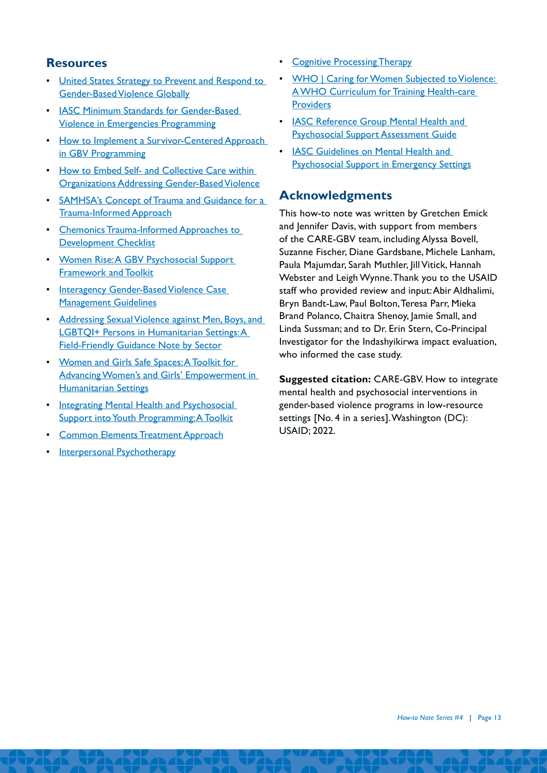## **Resources**

- [United States Strategy to Prevent and Respond to](https://www.state.gov/wp-content/uploads/2019/03/258703.pdf)  [Gender-Based Violence Globally](https://www.state.gov/wp-content/uploads/2019/03/258703.pdf)
- [IASC Minimum Standards for Gender-Based](https://www.unfpa.org/sites/default/files/pub-pdf/19-200_Minimun_Standards_Report_ENGLISH-Nov.FINAL_.pdf)  [Violence in Emergencies Programming](https://www.unfpa.org/sites/default/files/pub-pdf/19-200_Minimun_Standards_Report_ENGLISH-Nov.FINAL_.pdf)
- How to Implement a Survivor-Centered Approach [in GBV Programming](https://makingcents.com/wp-content/uploads/2021/01/CARE-GBV-03-Survivor-centered-v9-508c.pdf)
- [How to Embed Self- and Collective Care within](https://makingcents.com/wp-content/uploads/2022/04/CARE-GBV_05_Self_Collective_Care-v9-508c.pdf)  [Organizations Addressing Gender-Based Violence](https://makingcents.com/wp-content/uploads/2022/04/CARE-GBV_05_Self_Collective_Care-v9-508c.pdf)
- [SAMHSA's Concept of Trauma and Guidance for a](https://ncsacw.samhsa.gov/userfiles/files/SAMHSA_Trauma.pdf)  [Trauma-Informed Approach](https://ncsacw.samhsa.gov/userfiles/files/SAMHSA_Trauma.pdf)
- [Chemonics Trauma-Informed Approaches to](https://chemonics.com/wp-content/uploads/2020/10/TIA_PREPARE_GESI_Checklist_Final-Copy.pdf)  [Development Checklist](https://chemonics.com/wp-content/uploads/2020/10/TIA_PREPARE_GESI_Checklist_Final-Copy.pdf)
- Women Rise: A GBV Psychosocial Support [Framework and Toolkit](http://womenrise.gbvresponders.org/)
- [Interagency Gender-Based Violence Case](https://gbvresponders.org/wp-content/uploads/2017/04/Interagency-GBV-Case-Management-Guidelines_Final_2017.pdf)  [Management Guidelines](https://gbvresponders.org/wp-content/uploads/2017/04/Interagency-GBV-Case-Management-Guidelines_Final_2017.pdf)
- [Addressing Sexual Violence against Men, Boys, and](https://www.womensrefugeecommission.org/research-resources/addressing-sexual-violence-against-men-boys-lgbtiq-persons-in-humanitarian-settings-guidance-note/)  LGBTOI+ Persons in Humanitarian Settings: A [Field-Friendly Guidance Note by Sector](https://www.womensrefugeecommission.org/research-resources/addressing-sexual-violence-against-men-boys-lgbtiq-persons-in-humanitarian-settings-guidance-note/)
- [Women and Girls Safe Spaces: A Toolkit for](https://reliefweb.int/sites/reliefweb.int/files/resources/IRC-WGSS-Toolkit-Eng.pdf)  Advancing Women's and Girls' Empowerment in [Humanitarian Settings](https://reliefweb.int/sites/reliefweb.int/files/resources/IRC-WGSS-Toolkit-Eng.pdf)
- Integrating Mental Health and Psychosocial [Support into Youth Programming: A Toolkit](https://www.youthpower.org/sites/default/files/YouthPower/files/resources/MHPSS TOOLKIT_EDIT OCT 11_ FIXED VERSION.pdf)
- **[Common Elements Treatment Approach](https://www.cetaglobal.org/)**
- **[Interpersonal Psychotherapy](https://div12.org/treatment/interpersonal-psychotherapy-for-depression/#treatment-manuals)**
- [Cognitive Processing Therapy](https://www.apa.org/ptsd-guideline/treatments/cognitive-processing-therapy)
- [WHO | Caring for Women Subjected to Violence:](https://www.who.int/reproductivehealth/publications/caring-for-women-subject-to-violence/en/)  [A WHO Curriculum for Training Health-care](https://www.who.int/reproductivehealth/publications/caring-for-women-subject-to-violence/en/)  **[Providers](https://www.who.int/reproductivehealth/publications/caring-for-women-subject-to-violence/en/)**
- [IASC Reference Group Mental Health and](https://www.who.int/mental_health/publications/IASC_reference_group_psychosocial_support_assessment_guide.pdf)  [Psychosocial Support Assessment Guide](https://www.who.int/mental_health/publications/IASC_reference_group_psychosocial_support_assessment_guide.pdf)
- [IASC Guidelines on Mental Health and](https://www.who.int/mental_health/emergencies/guidelines_iasc_mental_health_psychosocial_june_2007.pdf)  [Psychosocial Support in Emergency Settings](https://www.who.int/mental_health/emergencies/guidelines_iasc_mental_health_psychosocial_june_2007.pdf)

## **Acknowledgments**

This how-to note was written by Gretchen Emick and Jennifer Davis, with support from members of the CARE-GBV team, including Alyssa Bovell, Suzanne Fischer, Diane Gardsbane, Michele Lanham, Paula Majumdar, Sarah Muthler, Jill Vitick, Hannah Webster and Leigh Wynne. Thank you to the USAID staff who provided review and input: Abir Aldhalimi, Bryn Bandt-Law, Paul Bolton, Teresa Parr, Mieka Brand Polanco, Chaitra Shenoy, Jamie Small, and Linda Sussman; and to Dr. Erin Stern, Co-Principal Investigator for the Indashyikirwa impact evaluation, who informed the case study.

**Suggested citation:** CARE-GBV. How to integrate mental health and psychosocial interventions in gender-based violence programs in low-resource settings [No. 4 in a series]. Washington (DC): USAID; 2022.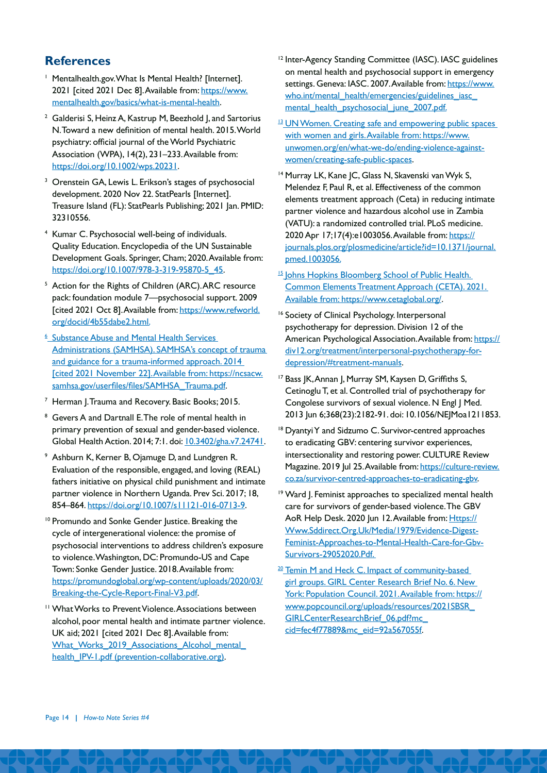## **References**

- <sup>1</sup> Mentalhealth.gov. What Is Mental Health? [Internet]. 2021 [cited 2021 Dec 8]. Available from: [https://www.](https://www.mentalhealth.gov/basics/what-is-mental-health) [mentalhealth.gov/basics/what-is-mental-health](https://www.mentalhealth.gov/basics/what-is-mental-health).
- <sup>2</sup> Galderisi S, Heinz A, Kastrup M, Beezhold I, and Sartorius N. Toward a new definition of mental health. 2015. World psychiatry: official journal of the World Psychiatric Association (WPA), 14(2), 231–233. Available from: <https://doi.org/10.1002/wps.20231>.
- <sup>3</sup> Orenstein GA, Lewis L. Erikson's stages of psychosocial development. 2020 Nov 22. StatPearls [Internet]. Treasure Island (FL): StatPearls Publishing; 2021 Jan. PMID: 32310556.
- <sup>4</sup> Kumar C. Psychosocial well-being of individuals. Quality Education. Encyclopedia of the UN Sustainable Development Goals. Springer, Cham; 2020. Available from: [https://doi.org/10.1007/978-3-319-95870-5\\_45.](https://doi.org/10.1007/978-3-319-95870-5_45)
- <sup>5</sup> Action for the Rights of Children (ARC). ARC resource pack: foundation module 7—psychosocial support. 2009 [cited 2021 Oct 8]. Available from: [https://www.refworld.](https://www.refworld.org/docid/4b55dabe2.htmlhttps://www.refworld.org/docid/4b55dabe2.html) [org/docid/4b55dabe2.html.](https://www.refworld.org/docid/4b55dabe2.htmlhttps://www.refworld.org/docid/4b55dabe2.html)
- <sup>6</sup> Substance Abuse and Mental Health Services Administrations (SAMHSA). SAMHSA's concept of trauma and guidance for a trauma-informed approach. 2014 [cited 2021 November 22]. Available from: [https://ncsacw.](https://ncsacw.samhsa.gov/userfiles/files/SAMHSA_Trauma.pdf) [samhsa.gov/userfiles/files/SAMHSA\\_Trauma.pdf](https://ncsacw.samhsa.gov/userfiles/files/SAMHSA_Trauma.pdf).
- Herman J. Trauma and Recovery. Basic Books; 2015.
- <sup>8</sup> Gevers A and Dartnall E. The role of mental health in primary prevention of sexual and gender-based violence. Global Health Action. 2014; 7:1. doi: [10.3402/gha.v7.24741](https://www.tandfonline.com/doi/full/10.3402/gha.v7.24741).
- <sup>9</sup> Ashburn K, Kerner B, Ojamuge D, and Lundgren R. Evaluation of the responsible, engaged, and loving (REAL) fathers initiative on physical child punishment and intimate partner violence in Northern Uganda. Prev Sci. 2017; 18, 854–864. [https://doi.org/10.1007/s11121-016-0713-9.](https://doi.org/10.1007/s11121-016-0713-9)
- <sup>10</sup> Promundo and Sonke Gender Justice. Breaking the cycle of intergenerational violence: the promise of psychosocial interventions to address children's exposure to violence. Washington, DC: Promundo-US and Cape Town: Sonke Gender Justice. 2018. Available from: [https://promundoglobal.org/wp-content/uploads/2020/03/](https://promundoglobal.org/wp-content/uploads/2020/03/Breaking-the-Cycle-Report-Final-V3.pdf) [Breaking-the-Cycle-Report-Final-V3.pdf.](https://promundoglobal.org/wp-content/uploads/2020/03/Breaking-the-Cycle-Report-Final-V3.pdf)
- <sup>11</sup> What Works to Prevent Violence. Associations between alcohol, poor mental health and intimate partner violence. UK aid; 2021 [cited 2021 Dec 8]. Available from: What\_Works\_2019\_Associations\_Alcohol\_mental [health\\_IPV-1.pdf \(prevention-collaborative.org\)](https://prevention-collaborative.org/wp-content/uploads/2021/08/What_Works_2019_Associations_Alcohol_mental_health_IPV-1.pdf).
- <sup>12</sup> Inter-Agency Standing Committee (IASC). IASC guidelines on mental health and psychosocial support in emergency settings. Geneva: IASC. 2007. Available from: [https://www.](https://www.who.int/mental_health/emergencies/guidelines_iasc_mental_health_psychosocial_june_2007.pdf) who.int/mental\_health/emergencies/guidelines\_iasc mental health psychosocial june 2007.pdf.
- <sup>13</sup> UN Women. Creating safe and empowering public spaces with women and girls. Available from: [https://www.](https://www.unwomen.org/en/what-we-do/ending-violence-against-women/creating-safe-public-spaces) [unwomen.org/en/what-we-do/ending-violence-against](https://www.unwomen.org/en/what-we-do/ending-violence-against-women/creating-safe-public-spaces)[women/creating-safe-public-spaces.](https://www.unwomen.org/en/what-we-do/ending-violence-against-women/creating-safe-public-spaces)
- <sup>14</sup> Murray LK, Kane JC, Glass N, Skavenski van Wyk S, Melendez F, Paul R, et al. Effectiveness of the common elements treatment approach (Ceta) in reducing intimate partner violence and hazardous alcohol use in Zambia (VATU): a randomized controlled trial. PLoS medicine. 2020 Apr 17;17(4):e1003056. Available from: [https://](https://journals.plos.org/plosmedicine/article?id=10.1371/journal.pmed.1003056) [journals.plos.org/plosmedicine/article?id=10.1371/journal.](https://journals.plos.org/plosmedicine/article?id=10.1371/journal.pmed.1003056) [pmed.1003056.](https://journals.plos.org/plosmedicine/article?id=10.1371/journal.pmed.1003056)
- <sup>15</sup> Johns Hopkins Bloomberg School of Public Health. Common Elements Treatment Approach (CETA). 2021. Available from: [https://www.cetaglobal.org/.](https://www.cetaglobal.org/)
- <sup>16</sup> Society of Clinical Psychology. Interpersonal psychotherapy for depression. Division 12 of the American Psychological Association. Available from: [https://](https://div12.org/treatment/interpersonal-psychotherapy-for-depression/%23treatment-manuals) [div12.org/treatment/interpersonal-psychotherapy-for](https://div12.org/treatment/interpersonal-psychotherapy-for-depression/%23treatment-manuals)[depression/#treatment-manuals](https://div12.org/treatment/interpersonal-psychotherapy-for-depression/%23treatment-manuals).
- <sup>17</sup> Bass JK, Annan J, Murray SM, Kaysen D, Griffiths S, Cetinoglu T, et al. Controlled trial of psychotherapy for Congolese survivors of sexual violence. N Engl J Med. 2013 Jun 6;368(23):2182-91. doi: 10.1056/NEJMoa1211853.
- <sup>18</sup> Dyantyi Y and Sidzumo C. Survivor-centred approaches to eradicating GBV: centering survivor experiences, intersectionality and restoring power. CULTURE Review Magazine. 2019 Jul 25. Available from: [https://culture-review.](https://culture-review.co.za/survivor-centred-approaches-to-eradicating-gbv) [co.za/survivor-centred-approaches-to-eradicating-gbv](https://culture-review.co.za/survivor-centred-approaches-to-eradicating-gbv).
- <sup>19</sup> Ward J. Feminist approaches to specialized mental health care for survivors of gender-based violence. The GBV AoR Help Desk. 2020 Jun 12. Available from: [Https://](https://www.sddirect.org.uk/Media/1979/Evidence-Digest-Feminist-Approaches-to-Mental-Health-Care-for-Gbv-Survivors-29052020.Pdf) [Www.Sddirect.Org.Uk/Media/1979/Evidence-Digest-](https://www.sddirect.org.uk/Media/1979/Evidence-Digest-Feminist-Approaches-to-Mental-Health-Care-for-Gbv-Survivors-29052020.Pdf)[Feminist-Approaches-to-Mental-Health-Care-for-Gbv-](https://www.sddirect.org.uk/Media/1979/Evidence-Digest-Feminist-Approaches-to-Mental-Health-Care-for-Gbv-Survivors-29052020.Pdf)[Survivors-29052020.Pdf.](https://www.sddirect.org.uk/Media/1979/Evidence-Digest-Feminist-Approaches-to-Mental-Health-Care-for-Gbv-Survivors-29052020.Pdf)
- <sup>20</sup> Temin M and Heck C. Impact of community-based girl groups. GIRL Center Research Brief No. 6. New York: Population Council. 2021. Available from: [https://](https://www.popcouncil.org/uploads/resources/2021SBSR_GIRLCenterResearchBrief_06.pdf?mc_cid=fec4f77889&mc_eid=92a567055f) [www.popcouncil.org/uploads/resources/2021SBSR\\_](https://www.popcouncil.org/uploads/resources/2021SBSR_GIRLCenterResearchBrief_06.pdf?mc_cid=fec4f77889&mc_eid=92a567055f) GIRLCenterResearchBrief\_06.pdf?mc [cid=fec4f77889&mc\\_eid=92a567055f](https://www.popcouncil.org/uploads/resources/2021SBSR_GIRLCenterResearchBrief_06.pdf?mc_cid=fec4f77889&mc_eid=92a567055f).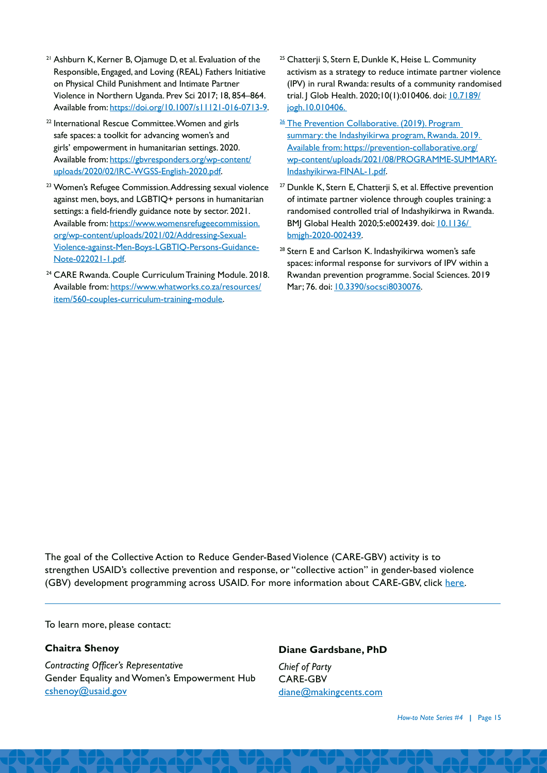- <sup>21</sup> Ashburn K, Kerner B, Ojamuge D, et al. Evaluation of the Responsible, Engaged, and Loving (REAL) Fathers Initiative on Physical Child Punishment and Intimate Partner Violence in Northern Uganda. Prev Sci 2017; 18, 854–864. Available from: [https://doi.org/10.1007/s11121-016-0713-9.](https://doi.org/10.1007/s11121-016-0713-9)
- <sup>22</sup> International Rescue Committee. Women and girls safe spaces: a toolkit for advancing women's and girls' empowerment in humanitarian settings. 2020. Available from: [https://gbvresponders.org/wp-content/](https://gbvresponders.org/wp-content/uploads/2020/02/IRC-WGSS-English-2020.pdf) [uploads/2020/02/IRC-WGSS-English-2020.pdf](https://gbvresponders.org/wp-content/uploads/2020/02/IRC-WGSS-English-2020.pdf).
- <sup>23</sup> Women's Refugee Commission. Addressing sexual violence against men, boys, and LGBTIQ+ persons in humanitarian settings: a field-friendly guidance note by sector. 2021. Available from: [https://www.womensrefugeecommission.](https://www.womensrefugeecommission.org/wp-content/uploads/2021/02/Addressing-Sexual-Violence-against-Men-Boys-LGBTIQ-Persons-Guidance-Note-022021-1.pdf) [org/wp-content/uploads/2021/02/Addressing-Sexual-](https://www.womensrefugeecommission.org/wp-content/uploads/2021/02/Addressing-Sexual-Violence-against-Men-Boys-LGBTIQ-Persons-Guidance-Note-022021-1.pdf)[Violence-against-Men-Boys-LGBTIQ-Persons-Guidance-](https://www.womensrefugeecommission.org/wp-content/uploads/2021/02/Addressing-Sexual-Violence-against-Men-Boys-LGBTIQ-Persons-Guidance-Note-022021-1.pdf)[Note-022021-1.pdf](https://www.womensrefugeecommission.org/wp-content/uploads/2021/02/Addressing-Sexual-Violence-against-Men-Boys-LGBTIQ-Persons-Guidance-Note-022021-1.pdf).
- <sup>24</sup> CARE Rwanda. Couple Curriculum Training Module. 2018. Available from: [https://www.whatworks.co.za/resources/](https://www.whatworks.co.za/resources/item/560-couples-curriculum-training-module) [item/560-couples-curriculum-training-module](https://www.whatworks.co.za/resources/item/560-couples-curriculum-training-module).
- <sup>25</sup> Chatterii S, Stern E, Dunkle K, Heise L, Community activism as a strategy to reduce intimate partner violence (IPV) in rural Rwanda: results of a community randomised trial. J Glob Health. 2020;10(1):010406. doi: [10.7189/](https://pubmed.ncbi.nlm.nih.gov/32257154/) [jogh.10.010406.](https://pubmed.ncbi.nlm.nih.gov/32257154/)
- <sup>26</sup> The Prevention Collaborative. (2019). Program summary: the Indashyikirwa program, Rwanda. 2019. Available from: [https://prevention-collaborative.org/](https://prevention-collaborative.org/wp-content/uploads/2021/08/PROGRAMME-SUMMARY-Indashyikirwa-FINAL-1.pdf) [wp-content/uploads/2021/08/PROGRAMME-SUMMARY-](https://prevention-collaborative.org/wp-content/uploads/2021/08/PROGRAMME-SUMMARY-Indashyikirwa-FINAL-1.pdf)[Indashyikirwa-FINAL-1.pdf.](https://prevention-collaborative.org/wp-content/uploads/2021/08/PROGRAMME-SUMMARY-Indashyikirwa-FINAL-1.pdf)
- <sup>27</sup> Dunkle K, Stern E, Chatterji S, et al. Effective prevention of intimate partner violence through couples training: a randomised controlled trial of Indashyikirwa in Rwanda. BMJ Global Health 2020;5:e002439. doi: **10.1136/** [bmjgh-2020-002439](https://pubmed.ncbi.nlm.nih.gov/33355268/).
- <sup>28</sup> Stern E and Carlson K. Indashyikirwa women's safe spaces: informal response for survivors of IPV within a Rwandan prevention programme. Social Sciences. 2019 Mar; 76. doi: [10.3390/socsci8030076.](https://www.mdpi.com/2076-0760/8/3/76/htm)

The goal of the Collective Action to Reduce Gender-Based Violence (CARE-GBV) activity is to strengthen USAID's collective prevention and response, or "collective action" in gender-based violence (GBV) development programming across USAID. For more information about CARE-GBV, click [here.](https://makingcents.com/project/collective-action-to-reduce-gbv/)

To learn more, please contact:

#### **Chaitra Shenoy**

*Contracting Officer's Representative* Gender Equality and Women's Empowerment Hub c[shenoy@usaid.gov](mailto:cshenoy%40usaid.gov?subject=)

#### **Diane Gardsbane, PhD**

*Chief of Party* CARE-GBV d[iane@makingcents.com](mailto:Diane%40makingcents.com?subject=)